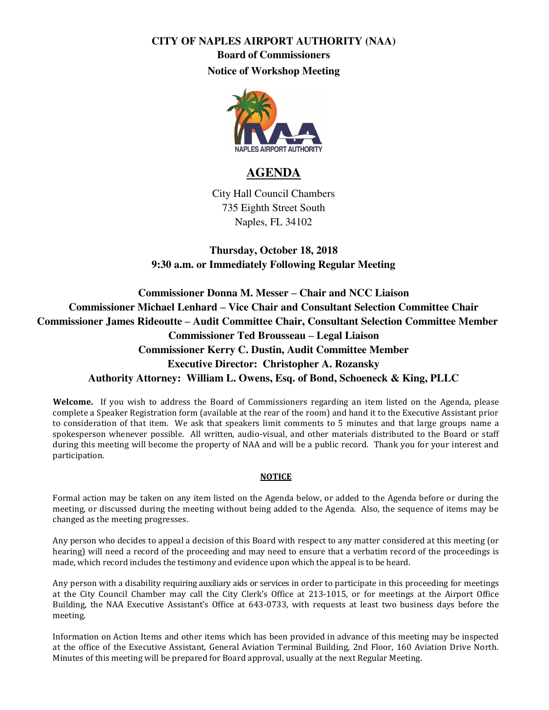## **CITY OF NAPLES AIRPORT AUTHORITY (NAA) Board of Commissioners Notice of Workshop Meeting**



## **AGENDA**

City Hall Council Chambers 735 Eighth Street South Naples, FL 34102

**Thursday, October 18, 2018 9:30 a.m. or Immediately Following Regular Meeting** 

**Commissioner Donna M. Messer – Chair and NCC Liaison Commissioner Michael Lenhard – Vice Chair and Consultant Selection Committee Chair Commissioner James Rideoutte – Audit Committee Chair, Consultant Selection Committee Member Commissioner Ted Brousseau – Legal Liaison Commissioner Kerry C. Dustin, Audit Committee Member Executive Director: Christopher A. Rozansky Authority Attorney: William L. Owens, Esq. of Bond, Schoeneck & King, PLLC** 

**Welcome.** If you wish to address the Board of Commissioners regarding an item listed on the Agenda, please complete a Speaker Registration form (available at the rear of the room) and hand it to the Executive Assistant prior to consideration of that item. We ask that speakers limit comments to 5 minutes and that large groups name a spokesperson whenever possible. All written, audio-visual, and other materials distributed to the Board or staff during this meeting will become the property of NAA and will be a public record. Thank you for your interest and participation.

## **NOTICE**

Formal action may be taken on any item listed on the Agenda below, or added to the Agenda before or during the meeting, or discussed during the meeting without being added to the Agenda. Also, the sequence of items may be changed as the meeting progresses.

Any person who decides to appeal a decision of this Board with respect to any matter considered at this meeting (or hearing) will need a record of the proceeding and may need to ensure that a verbatim record of the proceedings is made, which record includes the testimony and evidence upon which the appeal is to be heard.

Any person with a disability requiring auxiliary aids or services in order to participate in this proceeding for meetings at the City Council Chamber may call the City Clerk's Office at 213-1015, or for meetings at the Airport Office Building, the NAA Executive Assistant's Office at 643-0733, with requests at least two business days before the meeting.

Information on Action Items and other items which has been provided in advance of this meeting may be inspected at the office of the Executive Assistant, General Aviation Terminal Building, 2nd Floor, 160 Aviation Drive North. Minutes of this meeting will be prepared for Board approval, usually at the next Regular Meeting.